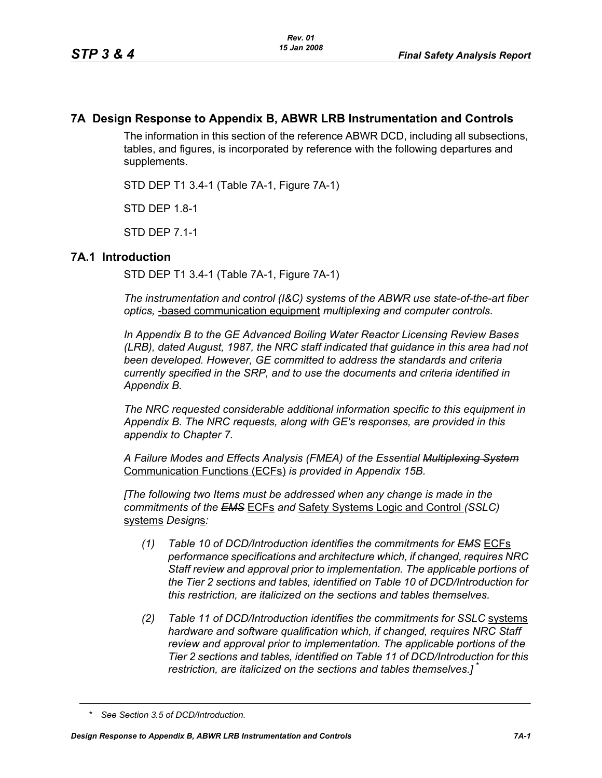# **7A Design Response to Appendix B, ABWR LRB Instrumentation and Controls**

The information in this section of the reference ABWR DCD, including all subsections, tables, and figures, is incorporated by reference with the following departures and supplements.

STD DEP T1 3.4-1 (Table 7A-1, Figure 7A-1)

STD DEP 1.8-1

STD DEP 7.1-1

## **7A.1 Introduction**

STD DEP T1 3.4-1 (Table 7A-1, Figure 7A-1)

*The instrumentation and control (I&C) systems of the ABWR use state-of-the-art fiber optics,* -based communication equipment *multiplexing and computer controls.* 

*In Appendix B to the GE Advanced Boiling Water Reactor Licensing Review Bases (LRB), dated August, 1987, the NRC staff indicated that guidance in this area had not been developed. However, GE committed to address the standards and criteria currently specified in the SRP, and to use the documents and criteria identified in Appendix B.*

*The NRC requested considerable additional information specific to this equipment in Appendix B. The NRC requests, along with GE's responses, are provided in this appendix to Chapter 7.*

*A Failure Modes and Effects Analysis (FMEA) of the Essential Multiplexing System* Communication Functions (ECFs) *is provided in Appendix 15B.*

*[The following two Items must be addressed when any change is made in the commitments of the EMS* ECFs *and* Safety Systems Logic and Control *(SSLC)* systems *Design*s*:*

- *(1) Table 10 of DCD/Introduction identifies the commitments for EMS* ECFs *performance specifications and architecture which, if changed, requires NRC Staff review and approval prior to implementation. The applicable portions of the Tier 2 sections and tables, identified on Table 10 of DCD/Introduction for this restriction, are italicized on the sections and tables themselves.*
- *(2) Table 11 of DCD/Introduction identifies the commitments for SSLC* systems *hardware and software qualification which, if changed, requires NRC Staff review and approval prior to implementation. The applicable portions of the Tier 2 sections and tables, identified on Table 11 of DCD/Introduction for this restriction, are italicized on the sections and tables themselves.]* \*

*<sup>\*</sup> See Section 3.5 of DCD/Introduction.*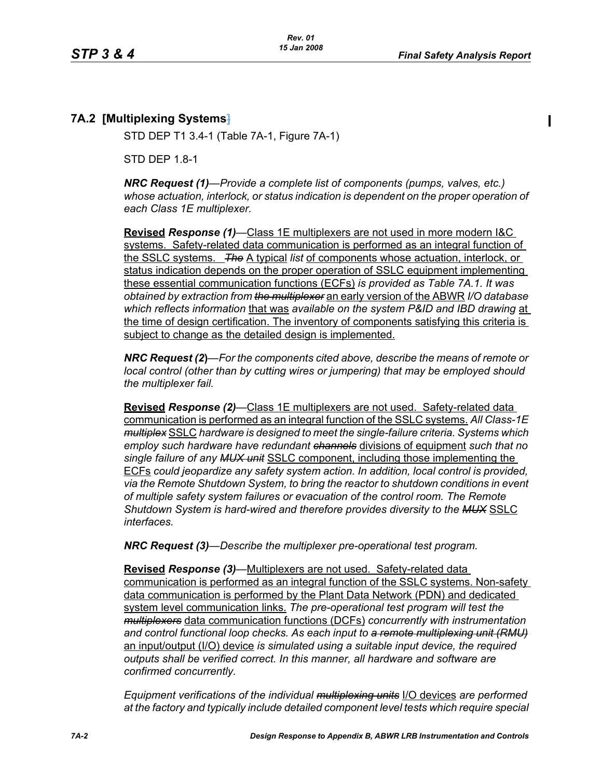# **7A.2 [Multiplexing Systems]**

STD DEP T1 3.4-1 (Table 7A-1, Figure 7A-1)

STD DEP 1.8-1

*NRC Request (1)—Provide a complete list of components (pumps, valves, etc.) whose actuation, interlock, or status indication is dependent on the proper operation of each Class 1E multiplexer.*

**Revised** *Response (1)—*Class 1E multiplexers are not used in more modern I&C systems. Safety-related data communication is performed as an integral function of the SSLC systems. *The* A typical *list* of components whose actuation, interlock, or status indication depends on the proper operation of SSLC equipment implementing these essential communication functions (ECFs) *is provided as Table 7A.1. It was obtained by extraction from the multiplexer* an early version of the ABWR *I/O database which reflects information* that was *available on the system P&ID and IBD drawing* at the time of design certification. The inventory of components satisfying this criteria is subject to change as the detailed design is implemented.

*NRC Request (2***)***—For the components cited above, describe the means of remote or local control (other than by cutting wires or jumpering) that may be employed should the multiplexer fail.*

**Revised** *Response (2)—*Class 1E multiplexers are not used. Safety-related data communication is performed as an integral function of the SSLC systems. *All Class-1E multiplex* SSLC *hardware is designed to meet the single-failure criteria. Systems which employ such hardware have redundant channels* divisions of equipment *such that no single failure of any MUX unit* SSLC component, including those implementing the ECFs *could jeopardize any safety system action. In addition, local control is provided, via the Remote Shutdown System, to bring the reactor to shutdown conditions in event of multiple safety system failures or evacuation of the control room. The Remote Shutdown System is hard-wired and therefore provides diversity to the MUX* SSLC *interfaces.*

*NRC Request (3)—Describe the multiplexer pre-operational test program.*

**Revised** *Response (3)—*Multiplexers are not used. Safety-related data communication is performed as an integral function of the SSLC systems. Non-safety data communication is performed by the Plant Data Network (PDN) and dedicated system level communication links. *The pre-operational test program will test the multiplexers* data communication functions (DCFs) *concurrently with instrumentation and control functional loop checks. As each input to a remote multiplexing unit (RMU)* an input/output (I/O) device *is simulated using a suitable input device, the required outputs shall be verified correct. In this manner, all hardware and software are confirmed concurrently.*

*Equipment verifications of the individual multiplexing units* I/O devices *are performed at the factory and typically include detailed component level tests which require special*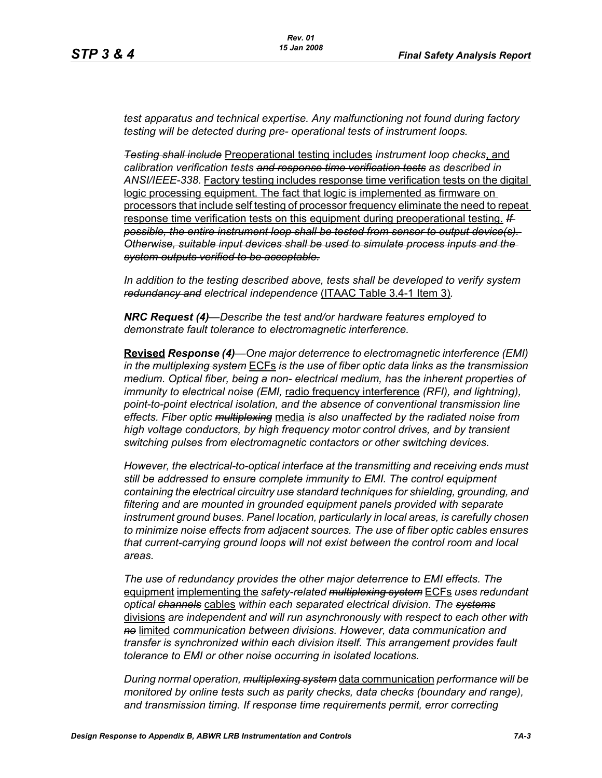*test apparatus and technical expertise. Any malfunctioning not found during factory testing will be detected during pre- operational tests of instrument loops.*

*Testing shall include* Preoperational testing includes *instrument loop checks*, and *calibration verification tests and response time verification tests as described in ANSI/IEEE-338.* Factory testing includes response time verification tests on the digital logic processing equipment. The fact that logic is implemented as firmware on processors that include self testing of processor frequency eliminate the need to repeat response time verification tests on this equipment during preoperational testing. *If possible, the entire instrument loop shall be tested from sensor to output device(s). Otherwise, suitable input devices shall be used to simulate process inputs and the system outputs verified to be acceptable.*

*In addition to the testing described above, tests shall be developed to verify system redundancy and electrical independence* (ITAAC Table 3.4-1 Item 3)*.*

*NRC Request (4)—Describe the test and/or hardware features employed to demonstrate fault tolerance to electromagnetic interference.*

**Revised** *Response (4)—One major deterrence to electromagnetic interference (EMI) in the multiplexing system* ECFs *is the use of fiber optic data links as the transmission medium. Optical fiber, being a non- electrical medium, has the inherent properties of immunity to electrical noise (EMI,* radio frequency interference *(RFI), and lightning), point-to-point electrical isolation, and the absence of conventional transmission line effects. Fiber optic multiplexing* media *is also unaffected by the radiated noise from high voltage conductors, by high frequency motor control drives, and by transient switching pulses from electromagnetic contactors or other switching devices.* 

*However, the electrical-to-optical interface at the transmitting and receiving ends must still be addressed to ensure complete immunity to EMI. The control equipment containing the electrical circuitry use standard techniques for shielding, grounding, and filtering and are mounted in grounded equipment panels provided with separate instrument ground buses. Panel location, particularly in local areas, is carefully chosen to minimize noise effects from adjacent sources. The use of fiber optic cables ensures that current-carrying ground loops will not exist between the control room and local areas.* 

*The use of redundancy provides the other major deterrence to EMI effects. The*  equipment implementing the *safety-related multiplexing system* ECFs *uses redundant optical channels* cables *within each separated electrical division. The systems* divisions *are independent and will run asynchronously with respect to each other with no* limited *communication between divisions. However, data communication and transfer is synchronized within each division itself. This arrangement provides fault tolerance to EMI or other noise occurring in isolated locations.* 

*During normal operation, multiplexing system* data communication *performance will be monitored by online tests such as parity checks, data checks (boundary and range), and transmission timing. If response time requirements permit, error correcting*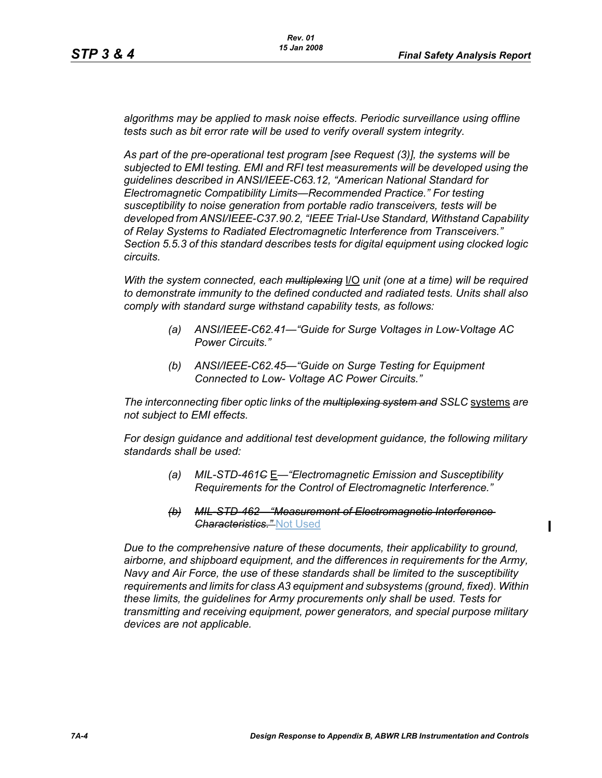$\blacksquare$ 

*algorithms may be applied to mask noise effects. Periodic surveillance using offline tests such as bit error rate will be used to verify overall system integrity.*

*As part of the pre-operational test program [see Request (3)], the systems will be subjected to EMI testing. EMI and RFI test measurements will be developed using the guidelines described in ANSI/IEEE-C63.12, "American National Standard for Electromagnetic Compatibility Limits—Recommended Practice." For testing susceptibility to noise generation from portable radio transceivers, tests will be developed from ANSI/IEEE-C37.90.2, "IEEE Trial-Use Standard, Withstand Capability of Relay Systems to Radiated Electromagnetic Interference from Transceivers." Section 5.5.3 of this standard describes tests for digital equipment using clocked logic circuits.*

*With the system connected, each multiplexing* I/O *unit (one at a time) will be required to demonstrate immunity to the defined conducted and radiated tests. Units shall also comply with standard surge withstand capability tests, as follows:*

- *(a) ANSI/IEEE-C62.41—"Guide for Surge Voltages in Low-Voltage AC Power Circuits."*
- *(b) ANSI/IEEE-C62.45—"Guide on Surge Testing for Equipment Connected to Low- Voltage AC Power Circuits."*

*The interconnecting fiber optic links of the multiplexing system and SSLC* systems *are not subject to EMI effects.*

*For design guidance and additional test development guidance, the following military standards shall be used:*

- *(a) MIL-STD-461C* E*—"Electromagnetic Emission and Susceptibility Requirements for the Control of Electromagnetic Interference."*
- *(b) MIL-STD-462—"Measurement of Electromagnetic Interference Characteristics."* Not Used

*Due to the comprehensive nature of these documents, their applicability to ground, airborne, and shipboard equipment, and the differences in requirements for the Army, Navy and Air Force, the use of these standards shall be limited to the susceptibility requirements and limits for class A3 equipment and subsystems (ground, fixed). Within these limits, the guidelines for Army procurements only shall be used. Tests for transmitting and receiving equipment, power generators, and special purpose military devices are not applicable.*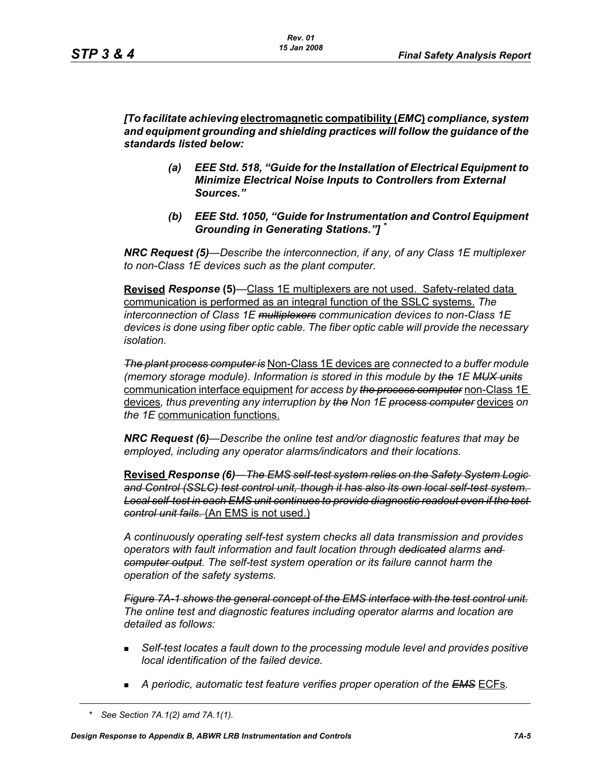*[To facilitate achieving* **electromagnetic compatibility (***EMC***)** *compliance, system and equipment grounding and shielding practices will follow the guidance of the standards listed below:*

- *(a) EEE Std. 518, "Guide for the Installation of Electrical Equipment to Minimize Electrical Noise Inputs to Controllers from External Sources."*
- *(b) EEE Std. 1050, "Guide for Instrumentation and Control Equipment Grounding in Generating Stations."] \**

*NRC Request (5)*—*Describe the interconnection, if any, of any Class 1E multiplexer to non-Class 1E devices such as the plant computer.* 

**Revised** *Response* **(5)***—*Class 1E multiplexers are not used. Safety-related data communication is performed as an integral function of the SSLC systems. *The interconnection of Class 1E multiplexers communication devices to non-Class 1E devices is done using fiber optic cable. The fiber optic cable will provide the necessary isolation.* 

*The plant process computer is* Non-Class 1E devices are *connected to a buffer module (memory storage module). Information is stored in this module by the 1E MUX units* communication interface equipment *for access by the process computer* non-Class 1E devices*, thus preventing any interruption by the Non 1E process computer* devices *on the 1E* communication functions.

*NRC Request (6)—Describe the online test and/or diagnostic features that may be employed, including any operator alarms/indicators and their locations.* 

**Revised** *Response (6)—The EMS self-test system relies on the Safety System Logic and Control (SSLC) test control unit, though it has also its own local self-test system. Local self-test in each EMS unit continues to provide diagnostic readout even if the test control unit fails.* (An EMS is not used.)

*A continuously operating self-test system checks all data transmission and provides operators with fault information and fault location through dedicated alarms and computer output. The self-test system operation or its failure cannot harm the operation of the safety systems.*

*Figure 7A-1 shows the general concept of the EMS interface with the test control unit. The online test and diagnostic features including operator alarms and location are detailed as follows:*

- *Self-test locates a fault down to the processing module level and provides positive local identification of the failed device.*
- *A periodic, automatic test feature verifies proper operation of the EMS* ECFs*.*

*<sup>\*</sup> See Section 7A.1(2) amd 7A.1(1).*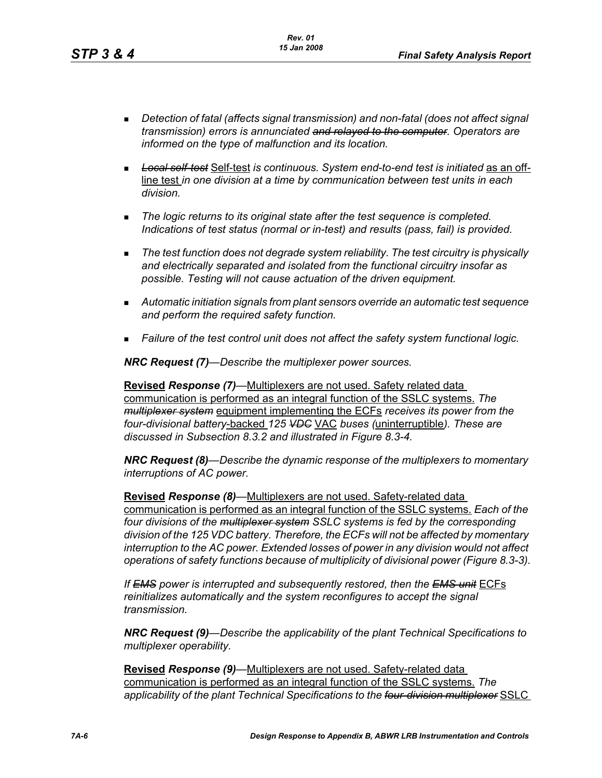- *Detection of fatal (affects signal transmission) and non-fatal (does not affect signal transmission) errors is annunciated and relayed to the computer. Operators are informed on the type of malfunction and its location.*
- *Local self-test* Self-test *is continuous. System end-to-end test is initiated* as an offline test *in one division at a time by communication between test units in each division.*
- *The logic returns to its original state after the test sequence is completed. Indications of test status (normal or in-test) and results (pass, fail) is provided.*
- *The test function does not degrade system reliability. The test circuitry is physically and electrically separated and isolated from the functional circuitry insofar as possible. Testing will not cause actuation of the driven equipment.*
- *Automatic initiation signals from plant sensors override an automatic test sequence and perform the required safety function.*
- *Failure of the test control unit does not affect the safety system functional logic.*

*NRC Request (7)—Describe the multiplexer power sources.*

**Revised** *Response (7)—*Multiplexers are not used. Safety related data communication is performed as an integral function of the SSLC systems. *The multiplexer system* equipment implementing the ECFs *receives its power from the four-divisional battery*-backed *125 VDC* VAC *buses (*uninterruptible*). These are discussed in Subsection 8.3.2 and illustrated in Figure 8.3-4.*

*NRC Request (8)—Describe the dynamic response of the multiplexers to momentary interruptions of AC power.*

**Revised** *Response (8)—*Multiplexers are not used. Safety-related data communication is performed as an integral function of the SSLC systems. *Each of the four divisions of the multiplexer system SSLC systems is fed by the corresponding division of the 125 VDC battery. Therefore, the ECFs will not be affected by momentary interruption to the AC power. Extended losses of power in any division would not affect operations of safety functions because of multiplicity of divisional power (Figure 8.3-3).*

*If EMS power is interrupted and subsequently restored, then the EMS unit* ECFs *reinitializes automatically and the system reconfigures to accept the signal transmission.*

*NRC Request (9)—Describe the applicability of the plant Technical Specifications to multiplexer operability.*

**Revised** *Response (9)—*Multiplexers are not used. Safety-related data communication is performed as an integral function of the SSLC systems. *The applicability of the plant Technical Specifications to the four-division multiplexer* SSLC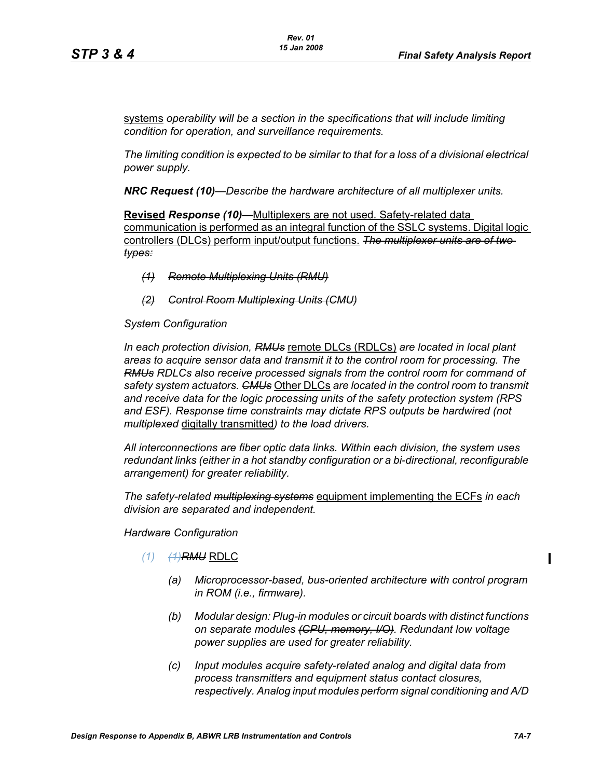systems *operability will be a section in the specifications that will include limiting condition for operation, and surveillance requirements.*

*The limiting condition is expected to be similar to that for a loss of a divisional electrical power supply.*

*NRC Request (10)—Describe the hardware architecture of all multiplexer units.* 

**Revised** *Response (10)—*Multiplexers are not used. Safety-related data communication is performed as an integral function of the SSLC systems. Digital logic controllers (DLCs) perform input/output functions. *The multiplexer units are of two types:*

- *(1) Remote Multiplexing Units (RMU)*
- *(2) Control Room Multiplexing Units (CMU)*

#### *System Configuration*

*In each protection division, RMUs* remote DLCs (RDLCs) *are located in local plant areas to acquire sensor data and transmit it to the control room for processing. The RMUs RDLCs also receive processed signals from the control room for command of safety system actuators. CMUs* Other DLCs *are located in the control room to transmit and receive data for the logic processing units of the safety protection system (RPS and ESF). Response time constraints may dictate RPS outputs be hardwired (not multiplexed* digitally transmitted*) to the load drivers.*

*All interconnections are fiber optic data links. Within each division, the system uses redundant links (either in a hot standby configuration or a bi-directional, reconfigurable arrangement) for greater reliability.*

*The safety-related multiplexing systems* equipment implementing the ECFs *in each division are separated and independent.*

*Hardware Configuration*

- *(1) (1)RMU* RDLC
	- *(a) Microprocessor-based, bus-oriented architecture with control program in ROM (i.e., firmware).*
	- *(b) Modular design: Plug-in modules or circuit boards with distinct functions on separate modules (CPU, memory, I/O). Redundant low voltage power supplies are used for greater reliability.*
	- *(c) Input modules acquire safety-related analog and digital data from process transmitters and equipment status contact closures, respectively. Analog input modules perform signal conditioning and A/D*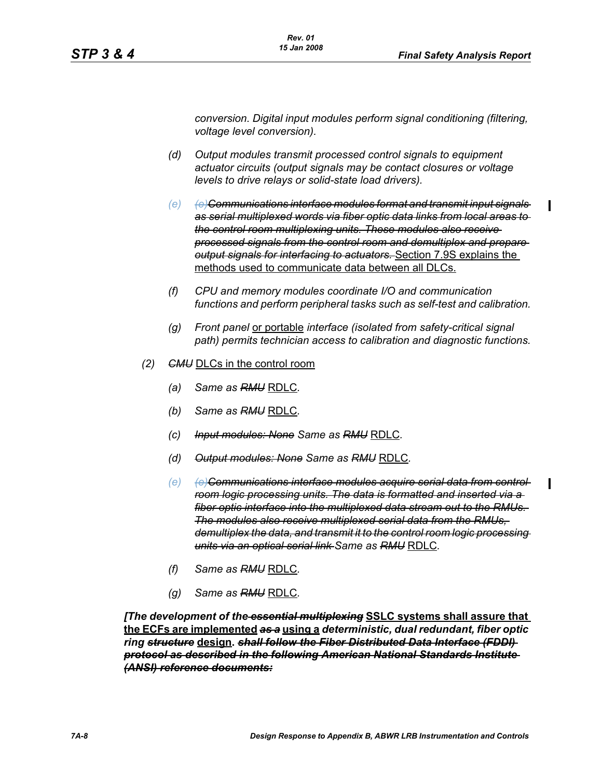I

*conversion. Digital input modules perform signal conditioning (filtering, voltage level conversion).*

- *(d) Output modules transmit processed control signals to equipment actuator circuits (output signals may be contact closures or voltage levels to drive relays or solid-state load drivers).*
- *(e)* (e) Communications interface modules format and transmit input signals *as serial multiplexed words via fiber optic data links from local areas to the control room multiplexing units. These modules also receive processed signals from the control room and demultiplex and prepare output signals for interfacing to actuators.* Section 7.9S explains the methods used to communicate data between all DLCs.
- *(f) CPU and memory modules coordinate I/O and communication functions and perform peripheral tasks such as self-test and calibration.*
- *(g) Front panel* or portable *interface (isolated from safety-critical signal path) permits technician access to calibration and diagnostic functions.*
- *(2) CMU* DLCs in the control room
	- *(a) Same as RMU* RDLC*.*
	- *(b) Same as RMU* RDLC*.*
	- *(c) Input modules: None Same as RMU* RDLC*.*
	- *(d) Output modules: None Same as RMU* RDLC*.*
	- *(e)* (e) Communications interface modules acquire serial data from control *room logic processing units. The data is formatted and inserted via a fiber optic interface into the multiplexed data stream out to the RMUs. The modules also receive multiplexed serial data from the RMUs, demultiplex the data, and transmit it to the control room logic processing units via an optical serial link Same as RMU* RDLC*.*
	- *(f) Same as RMU* RDLC*.*
	- *(g) Same as RMU* RDLC*.*

*[The development of the essential multiplexing* **SSLC systems shall assure that the ECFs are implemented** *as a* **using a** *deterministic, dual redundant, fiber optic ring structure* **design.** *shall follow the Fiber Distributed Data Interface (FDDI) protocol as described in the following American National Standards Institute (ANSI) reference documents:*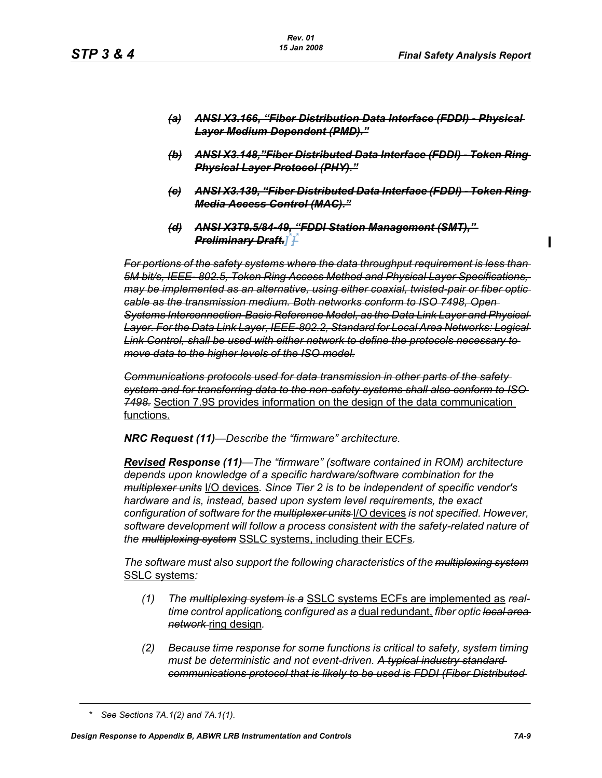I

- *(a) ANSI X3.166, "Fiber Distribution Data Interface (FDDI) Physical Layer Medium Dependent (PMD)."*
- *(b) ANSI X3.148,"Fiber Distributed Data Interface (FDDI) Token Ring Physical Layer Protocol (PHY)."*
- *(c) ANSI X3.139, "Fiber Distributed Data Interface (FDDI) Token Ring Media Access Control (MAC)."*
- *(d) ANSI X3T9.5/84-49, "FDDI Station Management (SMT)," Preliminary Draft.] \* ] \**

*For portions of the safety systems where the data throughput requirement is less than 5M bit/s, IEEE- 802.5, Token Ring Access Method and Physical Layer Specifications, may be implemented as an alternative, using either coaxial, twisted-pair or fiber optic cable as the transmission medium. Both networks conform to ISO 7498, Open Systems Interconnection-Basic Reference Model, as the Data Link Layer and Physical Layer. For the Data Link Layer, IEEE-802.2, Standard for Local Area Networks: Logical Link Control, shall be used with either network to define the protocols necessary to move data to the higher levels of the ISO model.*

*Communications protocols used for data transmission in other parts of the safety system and for transferring data to the non-safety systems shall also conform to ISO 7498.* Section 7.9S provides information on the design of the data communication functions.

*NRC Request (11)—Describe the "firmware" architecture.*

*Revised Response (11)—The "firmware" (software contained in ROM) architecture depends upon knowledge of a specific hardware/software combination for the multiplexer units* I/O devices*. Since Tier 2 is to be independent of specific vendor's hardware and is, instead, based upon system level requirements, the exact configuration of software for the multiplexer units* I/O devices *is not specified. However, software development will follow a process consistent with the safety-related nature of the multiplexing system* SSLC systems, including their ECFs*.*

*The software must also support the following characteristics of the multiplexing system* SSLC systems*:*

- *(1) The multiplexing system is a* SSLC systems ECFs are implemented as *realtime control application*s *configured as a* dual redundant, *fiber optic local area network* ring design*.*
- *(2) Because time response for some functions is critical to safety, system timing must be deterministic and not event-driven. A typical industry standard communications protocol that is likely to be used is FDDI (Fiber Distributed*

*<sup>\*</sup> See Sections 7A.1(2) and 7A.1(1).*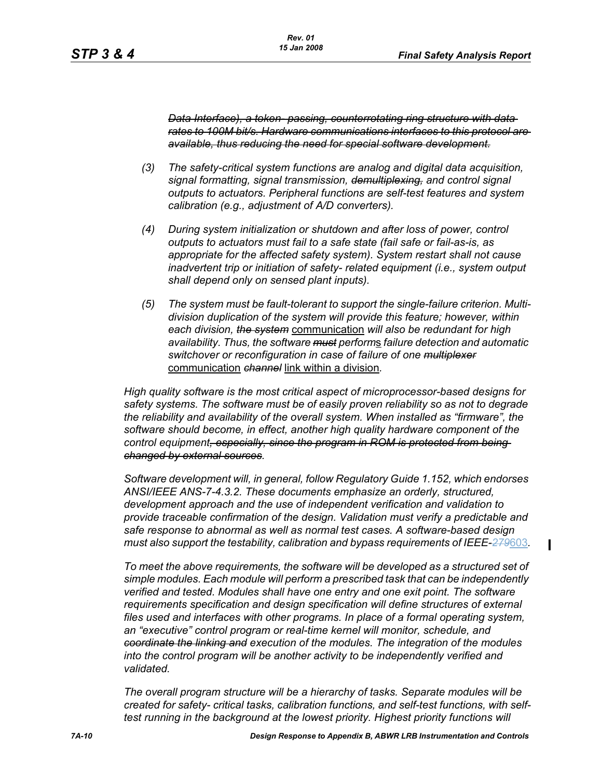П

*Data Interface), a token- passing, counterrotating ring structure with data rates to 100M bit/s. Hardware communications interfaces to this protocol are available, thus reducing the need for special software development.*

- *(3) The safety-critical system functions are analog and digital data acquisition, signal formatting, signal transmission, demultiplexing, and control signal outputs to actuators. Peripheral functions are self-test features and system calibration (e.g., adjustment of A/D converters).*
- *(4) During system initialization or shutdown and after loss of power, control outputs to actuators must fail to a safe state (fail safe or fail-as-is, as appropriate for the affected safety system). System restart shall not cause inadvertent trip or initiation of safety- related equipment (i.e., system output shall depend only on sensed plant inputs).*
- *(5) The system must be fault-tolerant to support the single-failure criterion. Multidivision duplication of the system will provide this feature; however, within each division, the system* communication *will also be redundant for high availability. Thus, the software must perform*s *failure detection and automatic switchover or reconfiguration in case of failure of one multiplexer* communication *channel* link within a division*.*

*High quality software is the most critical aspect of microprocessor-based designs for safety systems. The software must be of easily proven reliability so as not to degrade the reliability and availability of the overall system. When installed as "firmware", the software should become, in effect, another high quality hardware component of the control equipment, especially, since the program in ROM is protected from being changed by external sources.*

*Software development will, in general, follow Regulatory Guide 1.152, which endorses ANSI/IEEE ANS-7-4.3.2. These documents emphasize an orderly, structured, development approach and the use of independent verification and validation to provide traceable confirmation of the design. Validation must verify a predictable and safe response to abnormal as well as normal test cases. A software-based design must also support the testability, calibration and bypass requirements of IEEE-279*603*.*

*To meet the above requirements, the software will be developed as a structured set of simple modules. Each module will perform a prescribed task that can be independently verified and tested. Modules shall have one entry and one exit point. The software requirements specification and design specification will define structures of external files used and interfaces with other programs. In place of a formal operating system, an "executive" control program or real-time kernel will monitor, schedule, and coordinate the linking and execution of the modules. The integration of the modules into the control program will be another activity to be independently verified and validated.* 

*The overall program structure will be a hierarchy of tasks. Separate modules will be created for safety- critical tasks, calibration functions, and self-test functions, with selftest running in the background at the lowest priority. Highest priority functions will*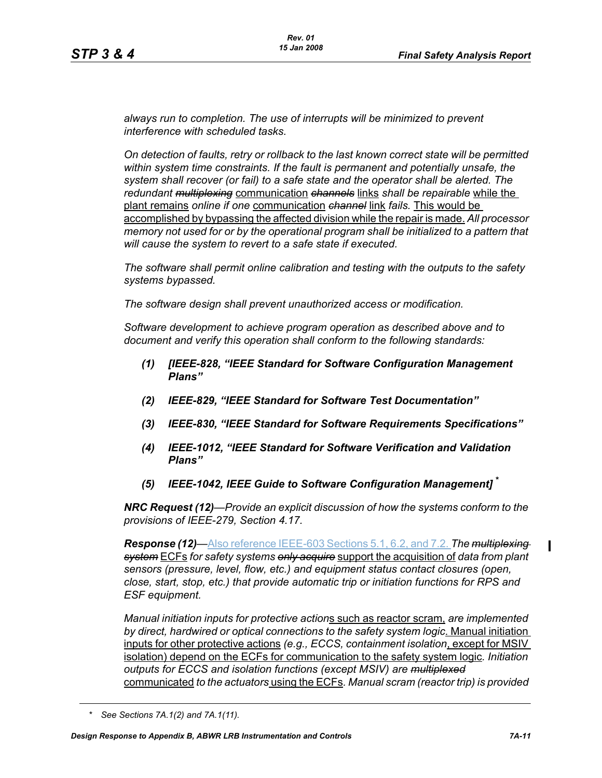*always run to completion. The use of interrupts will be minimized to prevent interference with scheduled tasks.* 

*On detection of faults, retry or rollback to the last known correct state will be permitted within system time constraints. If the fault is permanent and potentially unsafe, the system shall recover (or fail) to a safe state and the operator shall be alerted. The redundant multiplexing* communication *channels* links *shall be repairable* while the plant remains *online if one* communication *channel* link *fails.* This would be accomplished by bypassing the affected division while the repair is made. *All processor memory not used for or by the operational program shall be initialized to a pattern that will cause the system to revert to a safe state if executed.* 

*The software shall permit online calibration and testing with the outputs to the safety systems bypassed.* 

*The software design shall prevent unauthorized access or modification.* 

*Software development to achieve program operation as described above and to document and verify this operation shall conform to the following standards:*

- *(1) [IEEE-828, "IEEE Standard for Software Configuration Management Plans"*
- *(2) IEEE-829, "IEEE Standard for Software Test Documentation"*
- *(3) IEEE-830, "IEEE Standard for Software Requirements Specifications"*
- *(4) IEEE-1012, "IEEE Standard for Software Verification and Validation Plans"*
- *(5) IEEE-1042, IEEE Guide to Software Configuration Management]* **\***

*NRC Request (12)—Provide an explicit discussion of how the systems conform to the provisions of IEEE-279, Section 4.17.* 

*Response (12)—*Also reference IEEE-603 Sections 5.1, 6.2, and 7.2. *The multiplexing system* ECFs *for safety systems only acquire* support the acquisition of *data from plant sensors (pressure, level, flow, etc.) and equipment status contact closures (open, close, start, stop, etc.) that provide automatic trip or initiation functions for RPS and ESF equipment.* 

*Manual initiation inputs for protective action*s such as reactor scram, *are implemented by direct, hardwired or optical connections to the safety system logic*. Manual initiation inputs for other protective actions *(e.g., ECCS, containment isolation*, except for MSIV isolation) depend on the ECFs for communication to the safety system logic*. Initiation outputs for ECCS and isolation functions (except MSIV) are multiplexed* communicated *to the actuators* using the ECFs*. Manual scram (reactor trip) is provided* 

*<sup>\*</sup> See Sections 7A.1(2) and 7A.1(11).*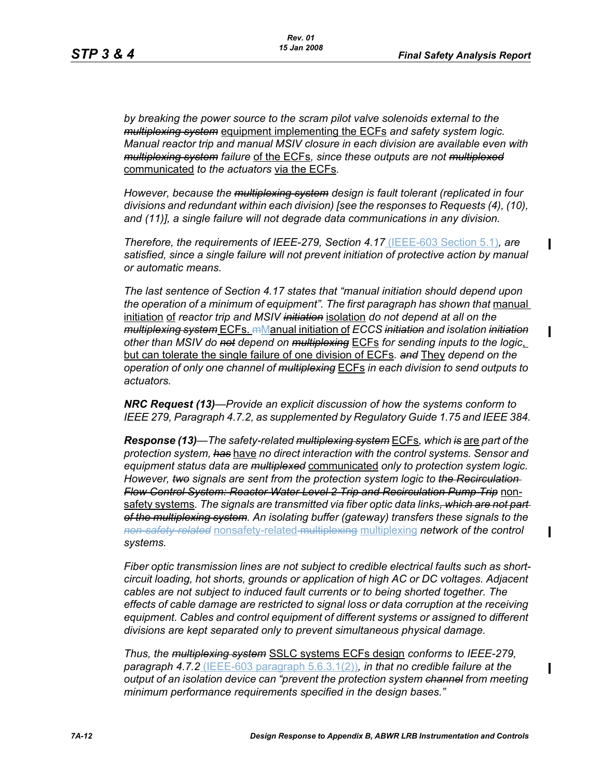*by breaking the power source to the scram pilot valve solenoids external to the multiplexing system* equipment implementing the ECFs *and safety system logic. Manual reactor trip and manual MSIV closure in each division are available even with multiplexing system failure* of the ECFs*, since these outputs are not multiplexed* communicated *to the actuators* via the ECFs*.* 

*However, because the multiplexing system design is fault tolerant (replicated in four divisions and redundant within each division) [see the responses to Requests (4), (10), and (11)], a single failure will not degrade data communications in any division.* 

*Therefore, the requirements of IEEE-279, Section 4.17* (IEEE-603 Section 5.1)*, are satisfied, since a single failure will not prevent initiation of protective action by manual or automatic means.* 

*The last sentence of Section 4.17 states that "manual initiation should depend upon*  the operation of a minimum of equipment". The first paragraph has shown that manual initiation of *reactor trip and MSIV initiation* isolation *do not depend at all on the multiplexing system* ECFs. mManual initiation of *ECCS initiation and isolation initiation other than MSIV do not depend on multiplexing* ECFs *for sending inputs to the logic*, but can tolerate the single failure of one division of ECFs*. and* They *depend on the operation of only one channel of multiplexing* ECFs *in each division to send outputs to actuators.* 

*NRC Request (13)—Provide an explicit discussion of how the systems conform to IEEE 279, Paragraph 4.7.2, as supplemented by Regulatory Guide 1.75 and IEEE 384.*

*Response (13)—The safety-related multiplexing system* ECFs*, which is* are *part of the protection system, has* have *no direct interaction with the control systems. Sensor and equipment status data are multiplexed* communicated *only to protection system logic. However, two signals are sent from the protection system logic to the Recirculation Flow Control System: Reactor Water Level 2 Trip and Recirculation Pump Trip* nonsafety systems*. The signals are transmitted via fiber optic data links, which are not part of the multiplexing system. An isolating buffer (gateway) transfers these signals to the non-safety-related* nonsafety-related multiplexing multiplexing *network of the control systems.* 

*Fiber optic transmission lines are not subject to credible electrical faults such as shortcircuit loading, hot shorts, grounds or application of high AC or DC voltages. Adjacent cables are not subject to induced fault currents or to being shorted together. The effects of cable damage are restricted to signal loss or data corruption at the receiving equipment. Cables and control equipment of different systems or assigned to different divisions are kept separated only to prevent simultaneous physical damage.* 

*Thus, the multiplexing system* SSLC systems ECFs design *conforms to IEEE-279, paragraph 4.7.2* (IEEE-603 paragraph 5.6.3.1(2))*, in that no credible failure at the output of an isolation device can "prevent the protection system channel from meeting minimum performance requirements specified in the design bases."*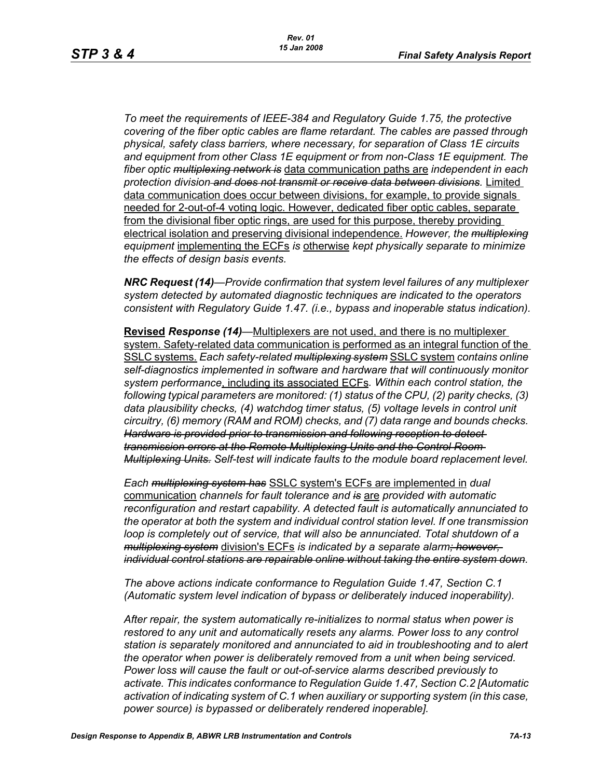*To meet the requirements of IEEE-384 and Regulatory Guide 1.75, the protective covering of the fiber optic cables are flame retardant. The cables are passed through physical, safety class barriers, where necessary, for separation of Class 1E circuits and equipment from other Class 1E equipment or from non-Class 1E equipment. The fiber optic multiplexing network is* data communication paths are *independent in each protection division and does not transmit or receive data between divisions.* Limited data communication does occur between divisions, for example, to provide signals needed for 2-out-of-4 voting logic. However, dedicated fiber optic cables, separate from the divisional fiber optic rings, are used for this purpose, thereby providing electrical isolation and preserving divisional independence. *However, the multiplexing equipment* implementing the ECFs *is* otherwise *kept physically separate to minimize the effects of design basis events.* 

*NRC Request (14)—Provide confirmation that system level failures of any multiplexer system detected by automated diagnostic techniques are indicated to the operators consistent with Regulatory Guide 1.47. (i.e., bypass and inoperable status indication).*

**Revised** *Response (14)—*Multiplexers are not used, and there is no multiplexer system. Safety-related data communication is performed as an integral function of the SSLC systems. *Each safety-related multiplexing system* SSLC system *contains online self-diagnostics implemented in software and hardware that will continuously monitor system performance*, including its associated ECFs*. Within each control station, the following typical parameters are monitored: (1) status of the CPU, (2) parity checks, (3) data plausibility checks, (4) watchdog timer status, (5) voltage levels in control unit circuitry, (6) memory (RAM and ROM) checks, and (7) data range and bounds checks. Hardware is provided prior to transmission and following reception to detect transmission errors at the Remote Multiplexing Units and the Control Room Multiplexing Units. Self-test will indicate faults to the module board replacement level.* 

*Each multiplexing system has* SSLC system's ECFs are implemented in *dual*  communication *channels for fault tolerance and is* are *provided with automatic reconfiguration and restart capability. A detected fault is automatically annunciated to the operator at both the system and individual control station level. If one transmission loop is completely out of service, that will also be annunciated. Total shutdown of a multiplexing system* division's ECFs *is indicated by a separate alarm; however, individual control stations are repairable online without taking the entire system down.* 

*The above actions indicate conformance to Regulation Guide 1.47, Section C.1 (Automatic system level indication of bypass or deliberately induced inoperability).* 

*After repair, the system automatically re-initializes to normal status when power is*  restored to any unit and automatically resets any alarms. Power loss to any control *station is separately monitored and annunciated to aid in troubleshooting and to alert the operator when power is deliberately removed from a unit when being serviced. Power loss will cause the fault or out-of-service alarms described previously to activate. This indicates conformance to Regulation Guide 1.47, Section C.2 [Automatic activation of indicating system of C.1 when auxiliary or supporting system (in this case, power source) is bypassed or deliberately rendered inoperable].*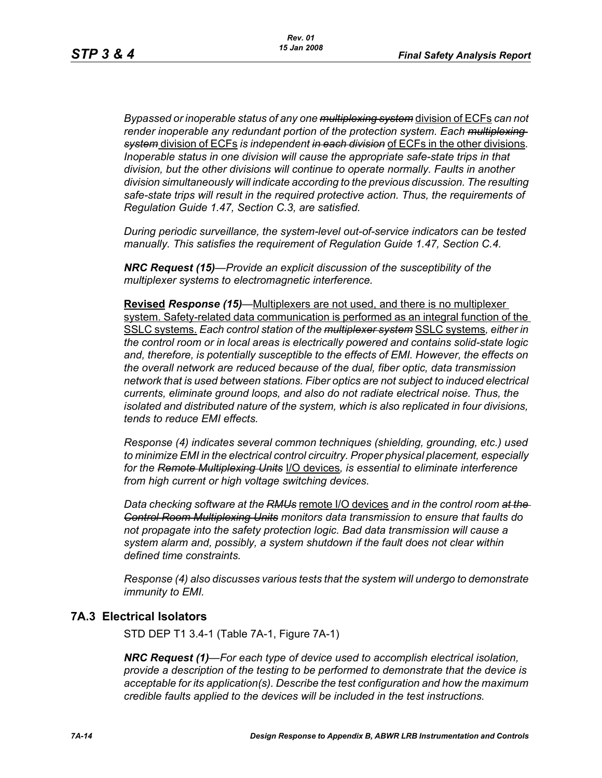*Bypassed or inoperable status of any one multiplexing system* division of ECFs *can not render inoperable any redundant portion of the protection system. Each multiplexing system* division of ECFs *is independent in each division* of ECFs in the other divisions*. Inoperable status in one division will cause the appropriate safe-state trips in that division, but the other divisions will continue to operate normally. Faults in another division simultaneously will indicate according to the previous discussion. The resulting safe-state trips will result in the required protective action. Thus, the requirements of Regulation Guide 1.47, Section C.3, are satisfied.* 

*During periodic surveillance, the system-level out-of-service indicators can be tested manually. This satisfies the requirement of Regulation Guide 1.47, Section C.4.* 

*NRC Request (15)—Provide an explicit discussion of the susceptibility of the multiplexer systems to electromagnetic interference.*

**Revised** *Response (15)—*Multiplexers are not used, and there is no multiplexer system. Safety-related data communication is performed as an integral function of the SSLC systems. *Each control station of the multiplexer system* SSLC systems*, either in the control room or in local areas is electrically powered and contains solid-state logic and, therefore, is potentially susceptible to the effects of EMI. However, the effects on the overall network are reduced because of the dual, fiber optic, data transmission network that is used between stations. Fiber optics are not subject to induced electrical currents, eliminate ground loops, and also do not radiate electrical noise. Thus, the isolated and distributed nature of the system, which is also replicated in four divisions, tends to reduce EMI effects.* 

*Response (4) indicates several common techniques (shielding, grounding, etc.) used to minimize EMI in the electrical control circuitry. Proper physical placement, especially for the Remote Multiplexing Units* I/O devices*, is essential to eliminate interference from high current or high voltage switching devices.* 

*Data checking software at the RMUs* remote I/O devices *and in the control room at the Control Room Multiplexing Units monitors data transmission to ensure that faults do not propagate into the safety protection logic. Bad data transmission will cause a system alarm and, possibly, a system shutdown if the fault does not clear within defined time constraints.* 

*Response (4) also discusses various tests that the system will undergo to demonstrate immunity to EMI.*

### **7A.3 Electrical Isolators**

STD DEP T1 3.4-1 (Table 7A-1, Figure 7A-1)

*NRC Request (1)—For each type of device used to accomplish electrical isolation, provide a description of the testing to be performed to demonstrate that the device is acceptable for its application(s). Describe the test configuration and how the maximum credible faults applied to the devices will be included in the test instructions.*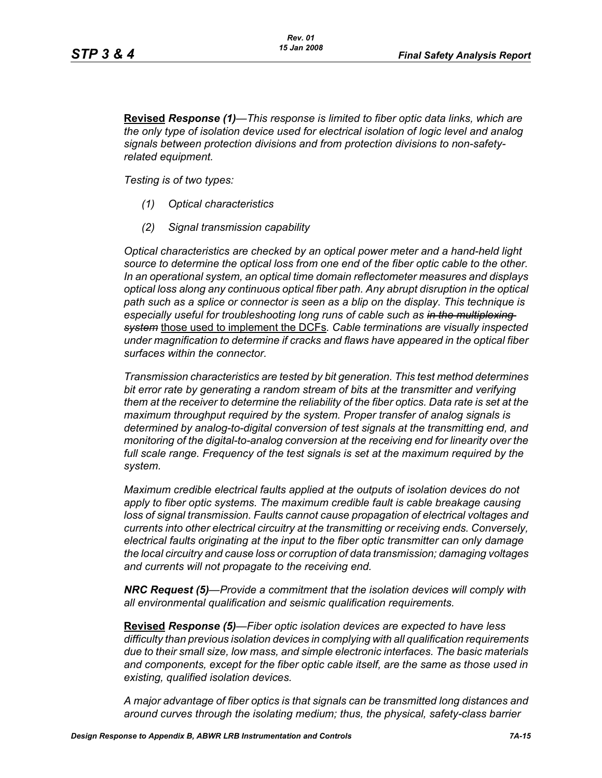**Revised** *Response (1)—This response is limited to fiber optic data links, which are the only type of isolation device used for electrical isolation of logic level and analog signals between protection divisions and from protection divisions to non-safetyrelated equipment.* 

*Testing is of two types:*

- *(1) Optical characteristics*
- *(2) Signal transmission capability*

*Optical characteristics are checked by an optical power meter and a hand-held light source to determine the optical loss from one end of the fiber optic cable to the other. In an operational system, an optical time domain reflectometer measures and displays optical loss along any continuous optical fiber path. Any abrupt disruption in the optical path such as a splice or connector is seen as a blip on the display. This technique is especially useful for troubleshooting long runs of cable such as in the multiplexing system* those used to implement the DCFs*. Cable terminations are visually inspected under magnification to determine if cracks and flaws have appeared in the optical fiber surfaces within the connector.* 

*Transmission characteristics are tested by bit generation. This test method determines bit error rate by generating a random stream of bits at the transmitter and verifying them at the receiver to determine the reliability of the fiber optics. Data rate is set at the maximum throughput required by the system. Proper transfer of analog signals is determined by analog-to-digital conversion of test signals at the transmitting end, and monitoring of the digital-to-analog conversion at the receiving end for linearity over the full scale range. Frequency of the test signals is set at the maximum required by the system.* 

*Maximum credible electrical faults applied at the outputs of isolation devices do not apply to fiber optic systems. The maximum credible fault is cable breakage causing loss of signal transmission. Faults cannot cause propagation of electrical voltages and currents into other electrical circuitry at the transmitting or receiving ends. Conversely, electrical faults originating at the input to the fiber optic transmitter can only damage the local circuitry and cause loss or corruption of data transmission; damaging voltages and currents will not propagate to the receiving end.* 

*NRC Request (5)—Provide a commitment that the isolation devices will comply with all environmental qualification and seismic qualification requirements.*

**Revised** *Response (5)—Fiber optic isolation devices are expected to have less difficulty than previous isolation devices in complying with all qualification requirements due to their small size, low mass, and simple electronic interfaces. The basic materials and components, except for the fiber optic cable itself, are the same as those used in existing, qualified isolation devices.* 

*A major advantage of fiber optics is that signals can be transmitted long distances and around curves through the isolating medium; thus, the physical, safety-class barrier*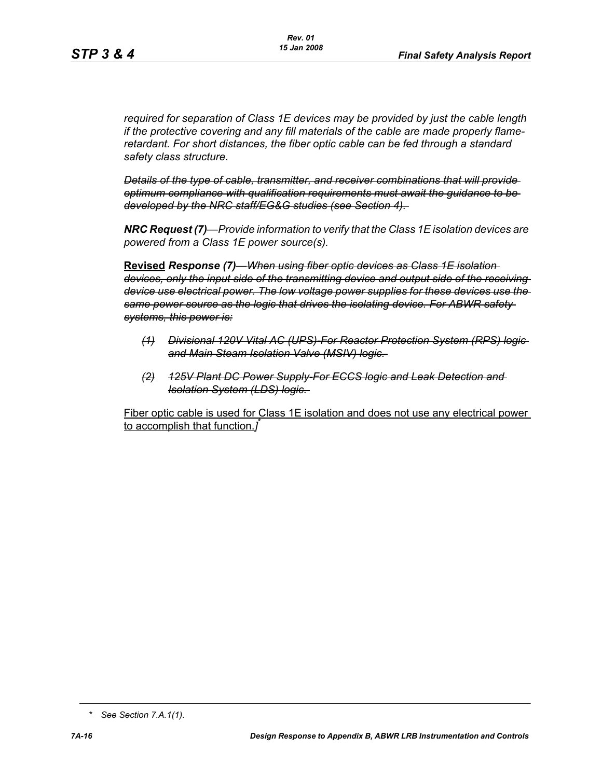*required for separation of Class 1E devices may be provided by just the cable length if the protective covering and any fill materials of the cable are made properly flameretardant. For short distances, the fiber optic cable can be fed through a standard safety class structure.* 

*Details of the type of cable, transmitter, and receiver combinations that will provide optimum compliance with qualification requirements must await the guidance to be developed by the NRC staff/EG&G studies (see Section 4).* 

*NRC Request (7)—Provide information to verify that the Class 1E isolation devices are powered from a Class 1E power source(s).*

**Revised** *Response (7)—When using fiber optic devices as Class 1E isolation devices, only the input side of the transmitting device and output side of the receiving device use electrical power. The low voltage power supplies for these devices use the same power source as the logic that drives the isolating device. For ABWR safety systems, this power is:*

- *(1) Divisional 120V Vital AC (UPS)-For Reactor Protection System (RPS) logic and Main Steam Isolation Valve (MSIV) logic.*
- *(2) 125V Plant DC Power Supply-For ECCS logic and Leak Detection and Isolation System (LDS) logic.*

Fiber optic cable is used for Class 1E isolation and does not use any electrical power to accomplish that function.*]* \*

*<sup>\*</sup> See Section 7.A.1(1).*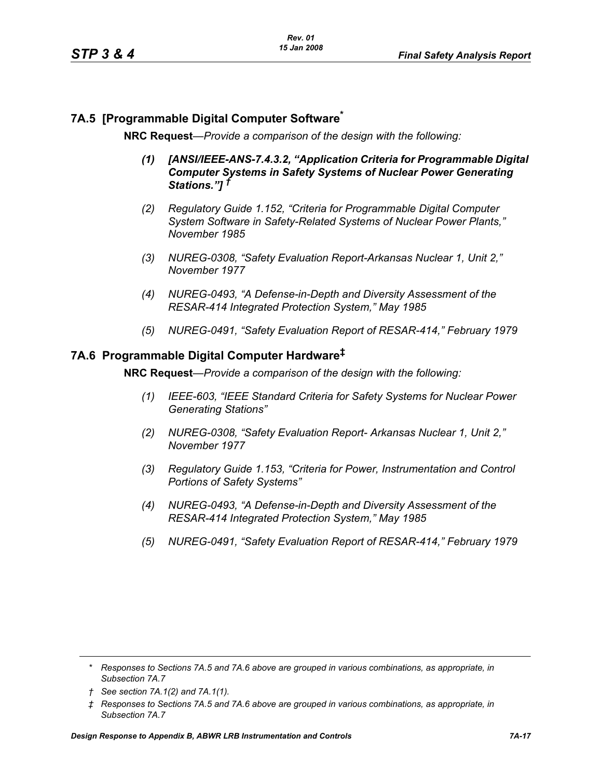# **7A.5 [Programmable Digital Computer Software\***

**NRC Request***—Provide a comparison of the design with the following:*

- *(1) [ANSI/IEEE-ANS-7.4.3.2, "Application Criteria for Programmable Digital Computer Systems in Safety Systems of Nuclear Power Generating Stations."] †*
- *(2) Regulatory Guide 1.152, "Criteria for Programmable Digital Computer System Software in Safety-Related Systems of Nuclear Power Plants," November 1985*
- *(3) NUREG-0308, "Safety Evaluation Report-Arkansas Nuclear 1, Unit 2," November 1977*
- *(4) NUREG-0493, "A Defense-in-Depth and Diversity Assessment of the RESAR-414 Integrated Protection System," May 1985*
- *(5) NUREG-0491, "Safety Evaluation Report of RESAR-414," February 1979*

### **7A.6 Programmable Digital Computer Hardware‡**

**NRC Request***—Provide a comparison of the design with the following:*

- *(1) IEEE-603, "IEEE Standard Criteria for Safety Systems for Nuclear Power Generating Stations"*
- *(2) NUREG-0308, "Safety Evaluation Report- Arkansas Nuclear 1, Unit 2," November 1977*
- *(3) Regulatory Guide 1.153, "Criteria for Power, Instrumentation and Control Portions of Safety Systems"*
- *(4) NUREG-0493, "A Defense-in-Depth and Diversity Assessment of the RESAR-414 Integrated Protection System," May 1985*
- *(5) NUREG-0491, "Safety Evaluation Report of RESAR-414," February 1979*

*<sup>\*</sup> Responses to Sections 7A.5 and 7A.6 above are grouped in various combinations, as appropriate, in Subsection 7A.7*

*<sup>†</sup> See section 7A.1(2) and 7A.1(1).*

*<sup>‡</sup> Responses to Sections 7A.5 and 7A.6 above are grouped in various combinations, as appropriate, in Subsection 7A.7*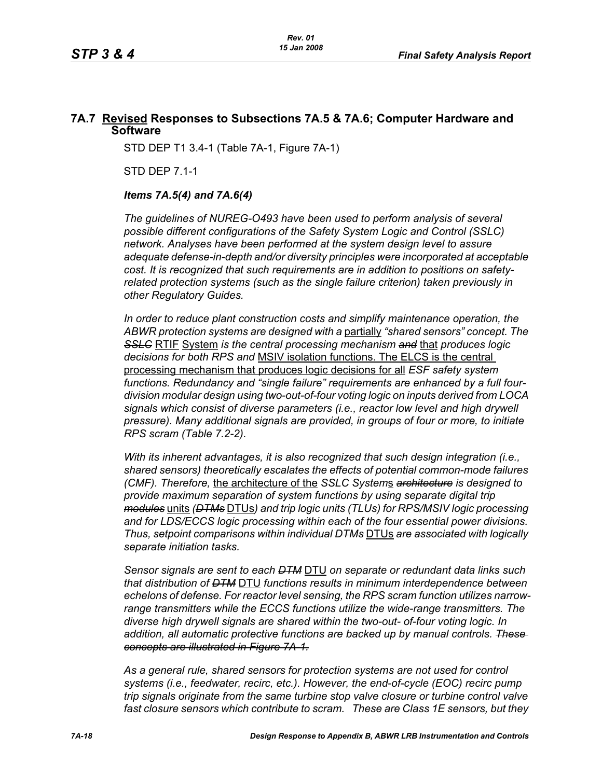# **7A.7 Revised Responses to Subsections 7A.5 & 7A.6; Computer Hardware and Software**

STD DEP T1 3.4-1 (Table 7A-1, Figure 7A-1)

STD DEP 7.1-1

#### *Items 7A.5(4) and 7A.6(4)*

*The guidelines of NUREG-O493 have been used to perform analysis of several possible different configurations of the Safety System Logic and Control (SSLC) network. Analyses have been performed at the system design level to assure adequate defense-in-depth and/or diversity principles were incorporated at acceptable cost. It is recognized that such requirements are in addition to positions on safetyrelated protection systems (such as the single failure criterion) taken previously in other Regulatory Guides.*

*In order to reduce plant construction costs and simplify maintenance operation, the ABWR protection systems are designed with a* partially *"shared sensors" concept. The SSLC* RTIF System *is the central processing mechanism and* that *produces logic decisions for both RPS and* MSIV isolation functions. The ELCS is the central processing mechanism that produces logic decisions for all *ESF safety system functions. Redundancy and "single failure" requirements are enhanced by a full fourdivision modular design using two-out-of-four voting logic on inputs derived from LOCA*  signals which consist of diverse parameters (i.e., reactor low level and high drywell *pressure). Many additional signals are provided, in groups of four or more, to initiate RPS scram (Table 7.2-2).*

*With its inherent advantages, it is also recognized that such design integration (i.e., shared sensors) theoretically escalates the effects of potential common-mode failures (CMF). Therefore,* the architecture of the *SSLC System*s *architecture is designed to provide maximum separation of system functions by using separate digital trip modules* units *(DTMs* DTUs*) and trip logic units (TLUs) for RPS/MSIV logic processing and for LDS/ECCS logic processing within each of the four essential power divisions. Thus, setpoint comparisons within individual DTMs* DTUs *are associated with logically separate initiation tasks.* 

*Sensor signals are sent to each DTM* DTU *on separate or redundant data links such that distribution of DTM* DTU *functions results in minimum interdependence between echelons of defense. For reactor level sensing, the RPS scram function utilizes narrowrange transmitters while the ECCS functions utilize the wide-range transmitters. The diverse high drywell signals are shared within the two-out- of-four voting logic. In addition, all automatic protective functions are backed up by manual controls. These concepts are illustrated in Figure 7A-1.*

*As a general rule, shared sensors for protection systems are not used for control systems (i.e., feedwater, recirc, etc.). However, the end-of-cycle (EOC) recirc pump trip signals originate from the same turbine stop valve closure or turbine control valve fast closure sensors which contribute to scram. These are Class 1E sensors, but they*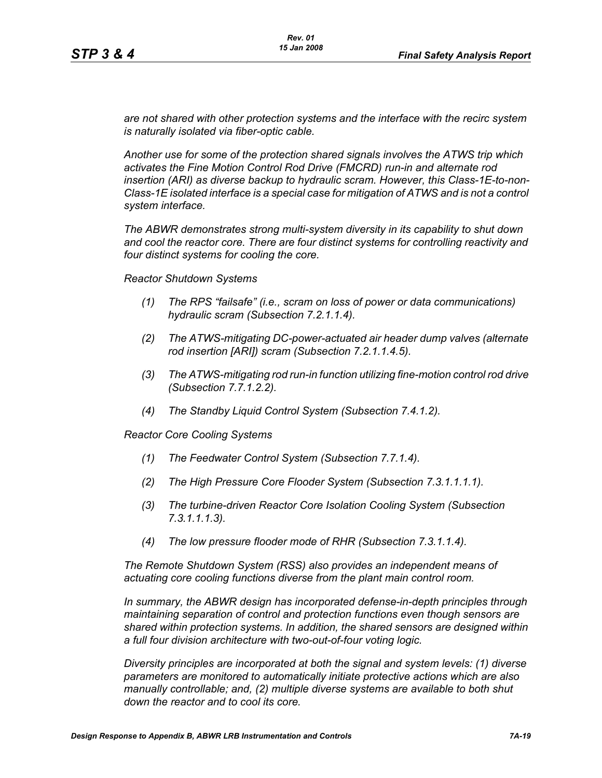*are not shared with other protection systems and the interface with the recirc system is naturally isolated via fiber-optic cable.*

*Another use for some of the protection shared signals involves the ATWS trip which activates the Fine Motion Control Rod Drive (FMCRD) run-in and alternate rod insertion (ARI) as diverse backup to hydraulic scram. However, this Class-1E-to-non-Class-1E isolated interface is a special case for mitigation of ATWS and is not a control system interface.* 

*The ABWR demonstrates strong multi-system diversity in its capability to shut down and cool the reactor core. There are four distinct systems for controlling reactivity and four distinct systems for cooling the core.* 

*Reactor Shutdown Systems*

- *(1) The RPS "failsafe" (i.e., scram on loss of power or data communications) hydraulic scram (Subsection 7.2.1.1.4).*
- *(2) The ATWS-mitigating DC-power-actuated air header dump valves (alternate rod insertion [ARI]) scram (Subsection 7.2.1.1.4.5).*
- *(3) The ATWS-mitigating rod run-in function utilizing fine-motion control rod drive (Subsection 7.7.1.2.2).*
- *(4) The Standby Liquid Control System (Subsection 7.4.1.2).*

*Reactor Core Cooling Systems*

- *(1) The Feedwater Control System (Subsection 7.7.1.4).*
- *(2) The High Pressure Core Flooder System (Subsection 7.3.1.1.1.1).*
- *(3) The turbine-driven Reactor Core Isolation Cooling System (Subsection 7.3.1.1.1.3).*
- *(4) The low pressure flooder mode of RHR (Subsection 7.3.1.1.4).*

*The Remote Shutdown System (RSS) also provides an independent means of actuating core cooling functions diverse from the plant main control room.*

*In summary, the ABWR design has incorporated defense-in-depth principles through maintaining separation of control and protection functions even though sensors are shared within protection systems. In addition, the shared sensors are designed within a full four division architecture with two-out-of-four voting logic.* 

*Diversity principles are incorporated at both the signal and system levels: (1) diverse parameters are monitored to automatically initiate protective actions which are also manually controllable; and, (2) multiple diverse systems are available to both shut down the reactor and to cool its core.*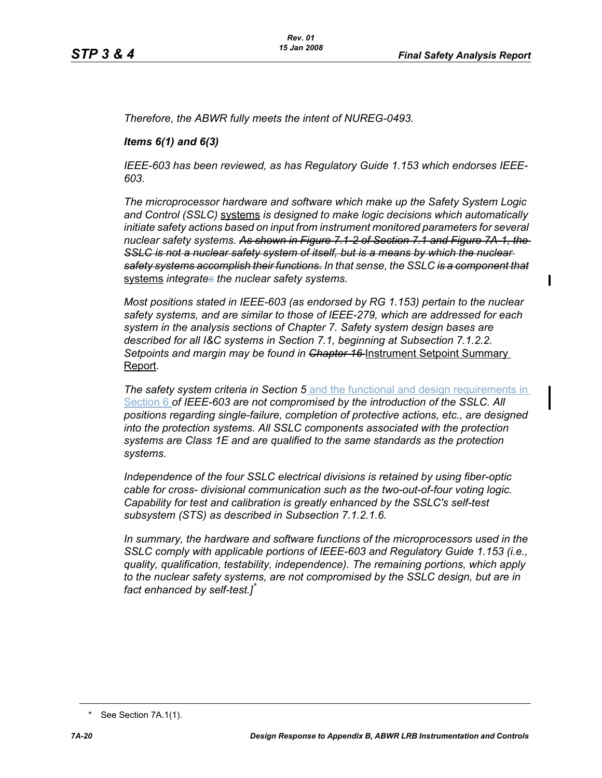Π

*Therefore, the ABWR fully meets the intent of NUREG-0493.*

#### *Items 6(1) and 6(3)*

*IEEE-603 has been reviewed, as has Regulatory Guide 1.153 which endorses IEEE-603.*

*The microprocessor hardware and software which make up the Safety System Logic and Control (SSLC)* systems *is designed to make logic decisions which automatically initiate safety actions based on input from instrument monitored parameters for several nuclear safety systems. As shown in Figure 7.1-2 of Section 7.1 and Figure 7A-1, the SSLC is not a nuclear safety system of itself, but is a means by which the nuclear safety systems accomplish their functions. In that sense, the SSLC is a component that* systems *integrates the nuclear safety systems.*

*Most positions stated in IEEE-603 (as endorsed by RG 1.153) pertain to the nuclear safety systems, and are similar to those of IEEE-279, which are addressed for each system in the analysis sections of Chapter 7. Safety system design bases are described for all I&C systems in Section 7.1, beginning at Subsection 7.1.2.2.*  Setpoints and margin may be found in Chapter 16 Instrument Setpoint Summary Report*.*

*The safety system criteria in Section 5* and the functional and design requirements in Section 6 *of IEEE-603 are not compromised by the introduction of the SSLC. All positions regarding single-failure, completion of protective actions, etc., are designed into the protection systems. All SSLC components associated with the protection systems are Class 1E and are qualified to the same standards as the protection systems.*

*Independence of the four SSLC electrical divisions is retained by using fiber-optic cable for cross- divisional communication such as the two-out-of-four voting logic. Capability for test and calibration is greatly enhanced by the SSLC's self-test subsystem (STS) as described in Subsection 7.1.2.1.6.*

*In summary, the hardware and software functions of the microprocessors used in the SSLC comply with applicable portions of IEEE-603 and Regulatory Guide 1.153 (i.e., quality, qualification, testability, independence). The remaining portions, which apply to the nuclear safety systems, are not compromised by the SSLC design, but are in fact enhanced by self-test.]\**

<sup>\*</sup> See Section 7A.1(1).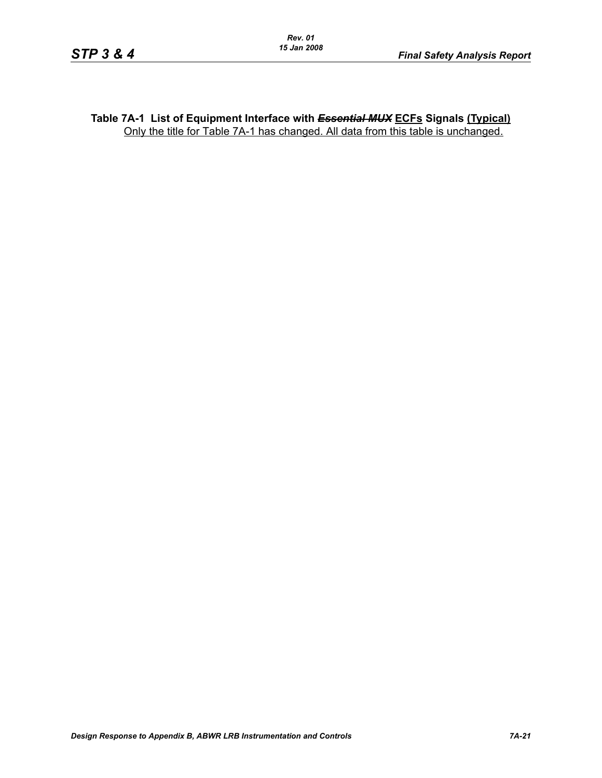#### **Table 7A-1 List of Equipment Interface with** *Essential MUX* **ECFs Signals (Typical)** Only the title for Table 7A-1 has changed. All data from this table is unchanged.